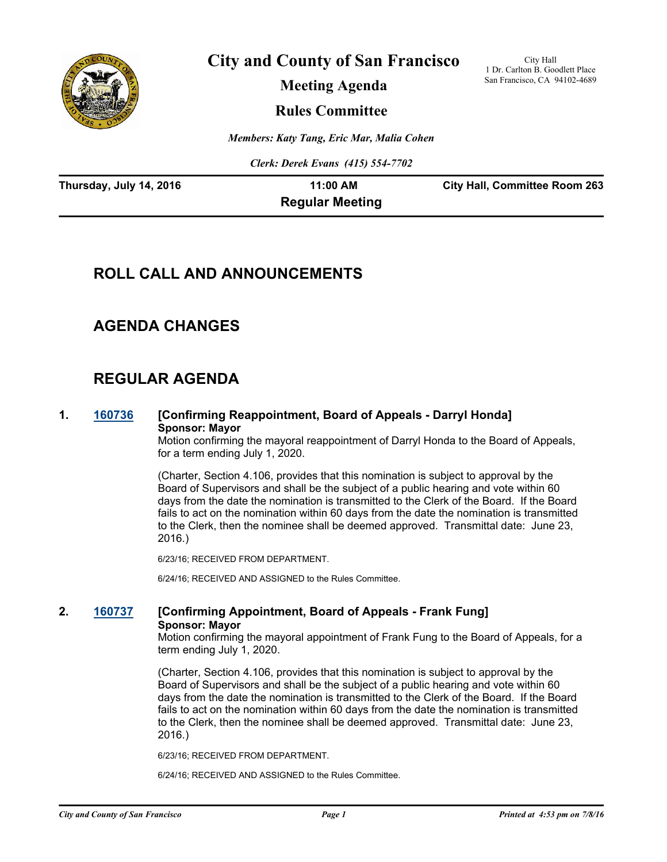

**City and County of San Francisco**

City Hall 1 Dr. Carlton B. Goodlett Place San Francisco, CA 94102-4689

**Meeting Agenda**

**Rules Committee**

*Members: Katy Tang, Eric Mar, Malia Cohen*

*Clerk: Derek Evans (415) 554-7702*

| Thursday, July 14, 2016 | 11:00 AM               | <b>City Hall, Committee Room 263</b> |
|-------------------------|------------------------|--------------------------------------|
|                         | <b>Regular Meeting</b> |                                      |

# **ROLL CALL AND ANNOUNCEMENTS**

# **AGENDA CHANGES**

# **REGULAR AGENDA**

### **1. [160736](http://sfgov.legistar.com/gateway.aspx?m=l&id=30941) [Confirming Reappointment, Board of Appeals - Darryl Honda] Sponsor: Mayor**

Motion confirming the mayoral reappointment of Darryl Honda to the Board of Appeals, for a term ending July 1, 2020.

(Charter, Section 4.106, provides that this nomination is subject to approval by the Board of Supervisors and shall be the subject of a public hearing and vote within 60 days from the date the nomination is transmitted to the Clerk of the Board. If the Board fails to act on the nomination within 60 days from the date the nomination is transmitted to the Clerk, then the nominee shall be deemed approved. Transmittal date: June 23, 2016.)

6/23/16; RECEIVED FROM DEPARTMENT.

6/24/16; RECEIVED AND ASSIGNED to the Rules Committee.

### **2. [160737](http://sfgov.legistar.com/gateway.aspx?m=l&id=30942) [Confirming Appointment, Board of Appeals - Frank Fung] Sponsor: Mayor**

Motion confirming the mayoral appointment of Frank Fung to the Board of Appeals, for a term ending July 1, 2020.

(Charter, Section 4.106, provides that this nomination is subject to approval by the Board of Supervisors and shall be the subject of a public hearing and vote within 60 days from the date the nomination is transmitted to the Clerk of the Board. If the Board fails to act on the nomination within 60 days from the date the nomination is transmitted to the Clerk, then the nominee shall be deemed approved. Transmittal date: June 23, 2016.)

6/23/16; RECEIVED FROM DEPARTMENT.

6/24/16; RECEIVED AND ASSIGNED to the Rules Committee.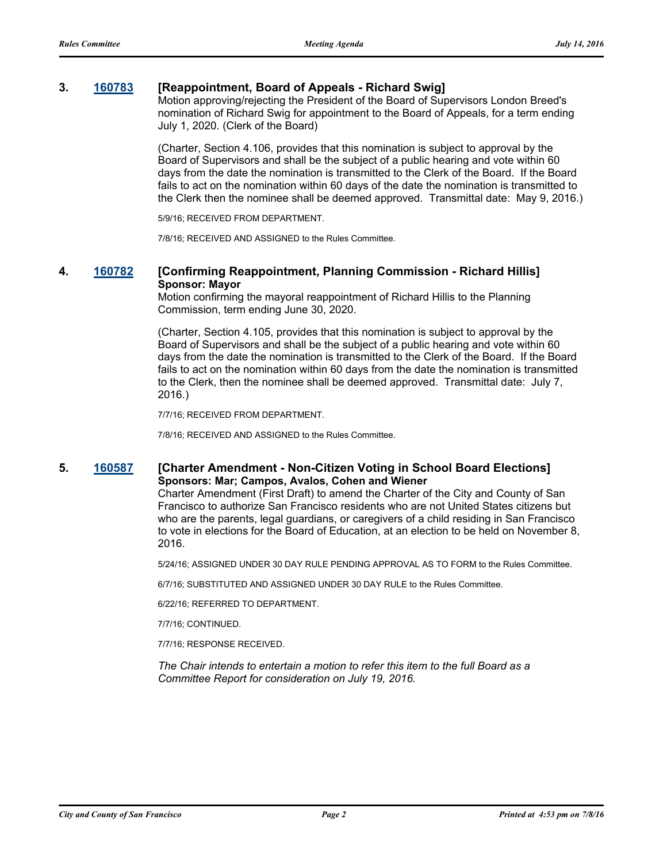#### **3. [160783](http://sfgov.legistar.com/gateway.aspx?m=l&id=30988) [Reappointment, Board of Appeals - Richard Swig]**

Motion approving/rejecting the President of the Board of Supervisors London Breed's nomination of Richard Swig for appointment to the Board of Appeals, for a term ending July 1, 2020. (Clerk of the Board)

(Charter, Section 4.106, provides that this nomination is subject to approval by the Board of Supervisors and shall be the subject of a public hearing and vote within 60 days from the date the nomination is transmitted to the Clerk of the Board. If the Board fails to act on the nomination within 60 days of the date the nomination is transmitted to the Clerk then the nominee shall be deemed approved. Transmittal date: May 9, 2016.)

5/9/16; RECEIVED FROM DEPARTMENT.

7/8/16; RECEIVED AND ASSIGNED to the Rules Committee.

#### **4. [160782](http://sfgov.legistar.com/gateway.aspx?m=l&id=30987) [Confirming Reappointment, Planning Commission - Richard Hillis] Sponsor: Mayor**

Motion confirming the mayoral reappointment of Richard Hillis to the Planning Commission, term ending June 30, 2020.

(Charter, Section 4.105, provides that this nomination is subject to approval by the Board of Supervisors and shall be the subject of a public hearing and vote within 60 days from the date the nomination is transmitted to the Clerk of the Board. If the Board fails to act on the nomination within 60 days from the date the nomination is transmitted to the Clerk, then the nominee shall be deemed approved. Transmittal date: July 7, 2016.)

7/7/16; RECEIVED FROM DEPARTMENT.

7/8/16; RECEIVED AND ASSIGNED to the Rules Committee.

#### **5. [160587](http://sfgov.legistar.com/gateway.aspx?m=l&id=30792) [Charter Amendment - Non-Citizen Voting in School Board Elections] Sponsors: Mar; Campos, Avalos, Cohen and Wiener**

Charter Amendment (First Draft) to amend the Charter of the City and County of San Francisco to authorize San Francisco residents who are not United States citizens but who are the parents, legal guardians, or caregivers of a child residing in San Francisco to vote in elections for the Board of Education, at an election to be held on November 8, 2016.

5/24/16; ASSIGNED UNDER 30 DAY RULE PENDING APPROVAL AS TO FORM to the Rules Committee.

6/7/16; SUBSTITUTED AND ASSIGNED UNDER 30 DAY RULE to the Rules Committee.

6/22/16; REFERRED TO DEPARTMENT.

7/7/16; CONTINUED.

7/7/16; RESPONSE RECEIVED.

*The Chair intends to entertain a motion to refer this item to the full Board as a Committee Report for consideration on July 19, 2016.*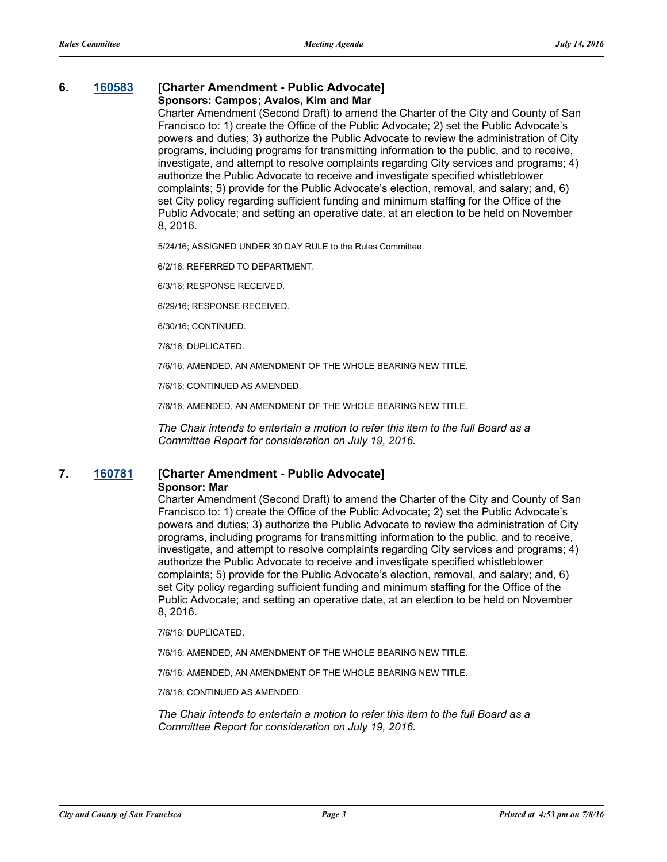# **6. [160583](http://sfgov.legistar.com/gateway.aspx?m=l&id=30788) [Charter Amendment - Public Advocate]**

#### **Sponsors: Campos; Avalos, Kim and Mar**

Charter Amendment (Second Draft) to amend the Charter of the City and County of San Francisco to: 1) create the Office of the Public Advocate; 2) set the Public Advocate's powers and duties; 3) authorize the Public Advocate to review the administration of City programs, including programs for transmitting information to the public, and to receive, investigate, and attempt to resolve complaints regarding City services and programs; 4) authorize the Public Advocate to receive and investigate specified whistleblower complaints; 5) provide for the Public Advocate's election, removal, and salary; and, 6) set City policy regarding sufficient funding and minimum staffing for the Office of the Public Advocate; and setting an operative date, at an election to be held on November 8, 2016.

5/24/16; ASSIGNED UNDER 30 DAY RULE to the Rules Committee.

6/2/16; REFERRED TO DEPARTMENT.

6/3/16; RESPONSE RECEIVED.

6/29/16; RESPONSE RECEIVED.

6/30/16; CONTINUED.

7/6/16; DUPLICATED.

7/6/16; AMENDED, AN AMENDMENT OF THE WHOLE BEARING NEW TITLE.

7/6/16; CONTINUED AS AMENDED.

7/6/16; AMENDED, AN AMENDMENT OF THE WHOLE BEARING NEW TITLE.

*The Chair intends to entertain a motion to refer this item to the full Board as a Committee Report for consideration on July 19, 2016.*

### **7. [160781](http://sfgov.legistar.com/gateway.aspx?m=l&id=30986) [Charter Amendment - Public Advocate] Sponsor: Mar**

Charter Amendment (Second Draft) to amend the Charter of the City and County of San Francisco to: 1) create the Office of the Public Advocate; 2) set the Public Advocate's powers and duties; 3) authorize the Public Advocate to review the administration of City programs, including programs for transmitting information to the public, and to receive, investigate, and attempt to resolve complaints regarding City services and programs; 4) authorize the Public Advocate to receive and investigate specified whistleblower complaints; 5) provide for the Public Advocate's election, removal, and salary; and, 6) set City policy regarding sufficient funding and minimum staffing for the Office of the Public Advocate; and setting an operative date, at an election to be held on November 8, 2016.

7/6/16; DUPLICATED.

7/6/16; AMENDED, AN AMENDMENT OF THE WHOLE BEARING NEW TITLE.

7/6/16; AMENDED, AN AMENDMENT OF THE WHOLE BEARING NEW TITLE.

7/6/16; CONTINUED AS AMENDED.

*The Chair intends to entertain a motion to refer this item to the full Board as a Committee Report for consideration on July 19, 2016.*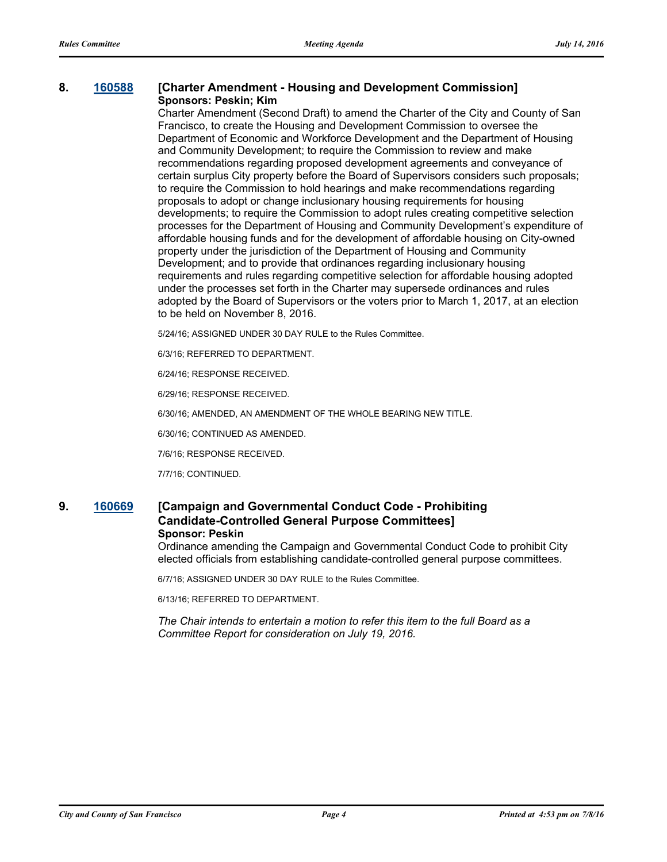#### **8. [160588](http://sfgov.legistar.com/gateway.aspx?m=l&id=30793) [Charter Amendment - Housing and Development Commission] Sponsors: Peskin; Kim**

Charter Amendment (Second Draft) to amend the Charter of the City and County of San Francisco, to create the Housing and Development Commission to oversee the Department of Economic and Workforce Development and the Department of Housing and Community Development; to require the Commission to review and make recommendations regarding proposed development agreements and conveyance of certain surplus City property before the Board of Supervisors considers such proposals; to require the Commission to hold hearings and make recommendations regarding proposals to adopt or change inclusionary housing requirements for housing developments; to require the Commission to adopt rules creating competitive selection processes for the Department of Housing and Community Development's expenditure of affordable housing funds and for the development of affordable housing on City-owned property under the jurisdiction of the Department of Housing and Community Development; and to provide that ordinances regarding inclusionary housing requirements and rules regarding competitive selection for affordable housing adopted under the processes set forth in the Charter may supersede ordinances and rules adopted by the Board of Supervisors or the voters prior to March 1, 2017, at an election to be held on November 8, 2016.

5/24/16; ASSIGNED UNDER 30 DAY RULE to the Rules Committee.

6/3/16; REFERRED TO DEPARTMENT.

6/24/16; RESPONSE RECEIVED.

6/29/16; RESPONSE RECEIVED.

6/30/16; AMENDED, AN AMENDMENT OF THE WHOLE BEARING NEW TITLE.

6/30/16; CONTINUED AS AMENDED.

7/6/16; RESPONSE RECEIVED.

7/7/16; CONTINUED.

### **9. [160669](http://sfgov.legistar.com/gateway.aspx?m=l&id=30874) [Campaign and Governmental Conduct Code - Prohibiting Candidate-Controlled General Purpose Committees] Sponsor: Peskin**

Ordinance amending the Campaign and Governmental Conduct Code to prohibit City elected officials from establishing candidate-controlled general purpose committees.

6/7/16; ASSIGNED UNDER 30 DAY RULE to the Rules Committee.

6/13/16; REFERRED TO DEPARTMENT.

*The Chair intends to entertain a motion to refer this item to the full Board as a Committee Report for consideration on July 19, 2016.*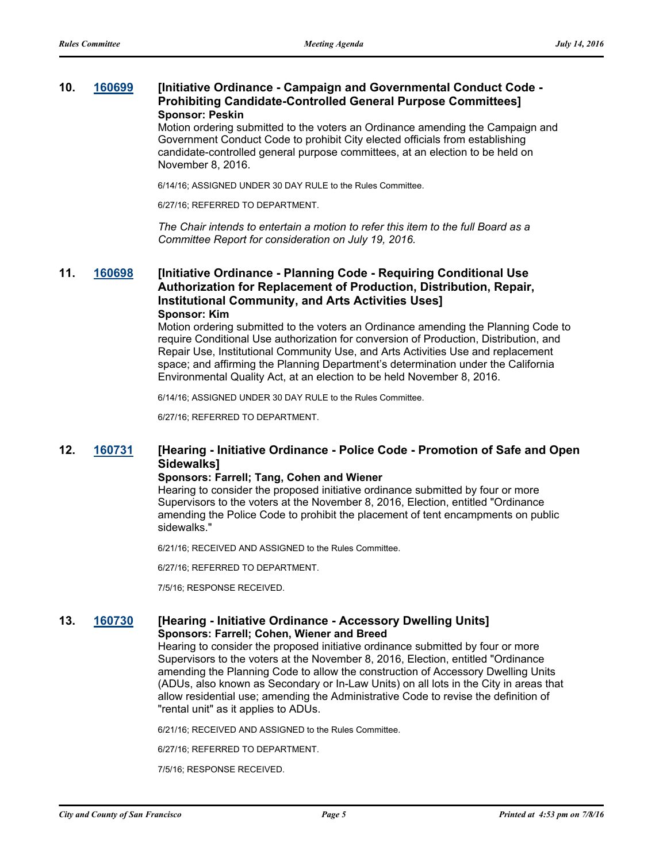### **10. [160699](http://sfgov.legistar.com/gateway.aspx?m=l&id=30904) [Initiative Ordinance - Campaign and Governmental Conduct Code - Prohibiting Candidate-Controlled General Purpose Committees] Sponsor: Peskin**

Motion ordering submitted to the voters an Ordinance amending the Campaign and Government Conduct Code to prohibit City elected officials from establishing candidate-controlled general purpose committees, at an election to be held on November 8, 2016.

6/14/16; ASSIGNED UNDER 30 DAY RULE to the Rules Committee.

6/27/16; REFERRED TO DEPARTMENT.

*The Chair intends to entertain a motion to refer this item to the full Board as a Committee Report for consideration on July 19, 2016.*

#### **11. [160698](http://sfgov.legistar.com/gateway.aspx?m=l&id=30903) [Initiative Ordinance - Planning Code - Requiring Conditional Use Authorization for Replacement of Production, Distribution, Repair, Institutional Community, and Arts Activities Uses] Sponsor: Kim**

Motion ordering submitted to the voters an Ordinance amending the Planning Code to require Conditional Use authorization for conversion of Production, Distribution, and Repair Use, Institutional Community Use, and Arts Activities Use and replacement space; and affirming the Planning Department's determination under the California Environmental Quality Act, at an election to be held November 8, 2016.

6/14/16; ASSIGNED UNDER 30 DAY RULE to the Rules Committee.

6/27/16; REFERRED TO DEPARTMENT.

### **12. [160731](http://sfgov.legistar.com/gateway.aspx?m=l&id=30936) [Hearing - Initiative Ordinance - Police Code - Promotion of Safe and Open Sidewalks]**

#### **Sponsors: Farrell; Tang, Cohen and Wiener**

Hearing to consider the proposed initiative ordinance submitted by four or more Supervisors to the voters at the November 8, 2016, Election, entitled "Ordinance amending the Police Code to prohibit the placement of tent encampments on public sidewalks."

6/21/16; RECEIVED AND ASSIGNED to the Rules Committee.

6/27/16; REFERRED TO DEPARTMENT.

7/5/16; RESPONSE RECEIVED.

#### **13. [160730](http://sfgov.legistar.com/gateway.aspx?m=l&id=30935) [Hearing - Initiative Ordinance - Accessory Dwelling Units] Sponsors: Farrell; Cohen, Wiener and Breed**

Hearing to consider the proposed initiative ordinance submitted by four or more Supervisors to the voters at the November 8, 2016, Election, entitled "Ordinance amending the Planning Code to allow the construction of Accessory Dwelling Units (ADUs, also known as Secondary or In-Law Units) on all lots in the City in areas that allow residential use; amending the Administrative Code to revise the definition of "rental unit" as it applies to ADUs.

6/21/16; RECEIVED AND ASSIGNED to the Rules Committee.

6/27/16; REFERRED TO DEPARTMENT.

7/5/16; RESPONSE RECEIVED.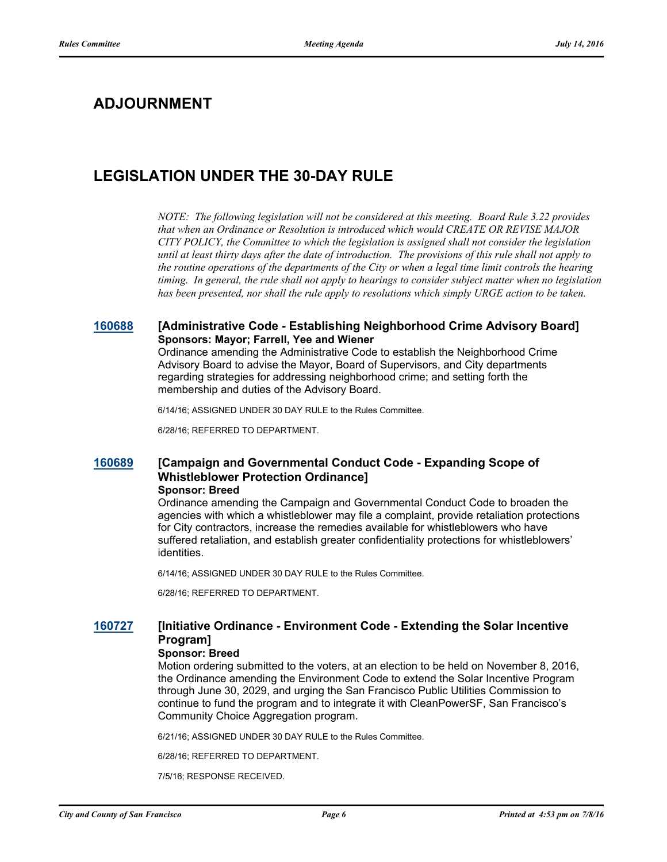# **ADJOURNMENT**

# **LEGISLATION UNDER THE 30-DAY RULE**

*NOTE: The following legislation will not be considered at this meeting. Board Rule 3.22 provides that when an Ordinance or Resolution is introduced which would CREATE OR REVISE MAJOR CITY POLICY, the Committee to which the legislation is assigned shall not consider the legislation until at least thirty days after the date of introduction. The provisions of this rule shall not apply to the routine operations of the departments of the City or when a legal time limit controls the hearing timing. In general, the rule shall not apply to hearings to consider subject matter when no legislation has been presented, nor shall the rule apply to resolutions which simply URGE action to be taken.*

#### **[160688](http://sfgov.legistar.com/gateway.aspx?m=l&id=30893) [Administrative Code - Establishing Neighborhood Crime Advisory Board] Sponsors: Mayor; Farrell, Yee and Wiener**

Ordinance amending the Administrative Code to establish the Neighborhood Crime Advisory Board to advise the Mayor, Board of Supervisors, and City departments regarding strategies for addressing neighborhood crime; and setting forth the membership and duties of the Advisory Board.

6/14/16; ASSIGNED UNDER 30 DAY RULE to the Rules Committee.

6/28/16; REFERRED TO DEPARTMENT.

#### **[160689](http://sfgov.legistar.com/gateway.aspx?m=l&id=30894) [Campaign and Governmental Conduct Code - Expanding Scope of Whistleblower Protection Ordinance] Sponsor: Breed**

Ordinance amending the Campaign and Governmental Conduct Code to broaden the agencies with which a whistleblower may file a complaint, provide retaliation protections for City contractors, increase the remedies available for whistleblowers who have suffered retaliation, and establish greater confidentiality protections for whistleblowers' identities.

6/14/16; ASSIGNED UNDER 30 DAY RULE to the Rules Committee.

6/28/16; REFERRED TO DEPARTMENT.

### **[160727](http://sfgov.legistar.com/gateway.aspx?m=l&id=30932) [Initiative Ordinance - Environment Code - Extending the Solar Incentive Program]**

#### **Sponsor: Breed**

Motion ordering submitted to the voters, at an election to be held on November 8, 2016, the Ordinance amending the Environment Code to extend the Solar Incentive Program through June 30, 2029, and urging the San Francisco Public Utilities Commission to continue to fund the program and to integrate it with CleanPowerSF, San Francisco's Community Choice Aggregation program.

6/21/16; ASSIGNED UNDER 30 DAY RULE to the Rules Committee.

6/28/16; REFERRED TO DEPARTMENT.

7/5/16; RESPONSE RECEIVED.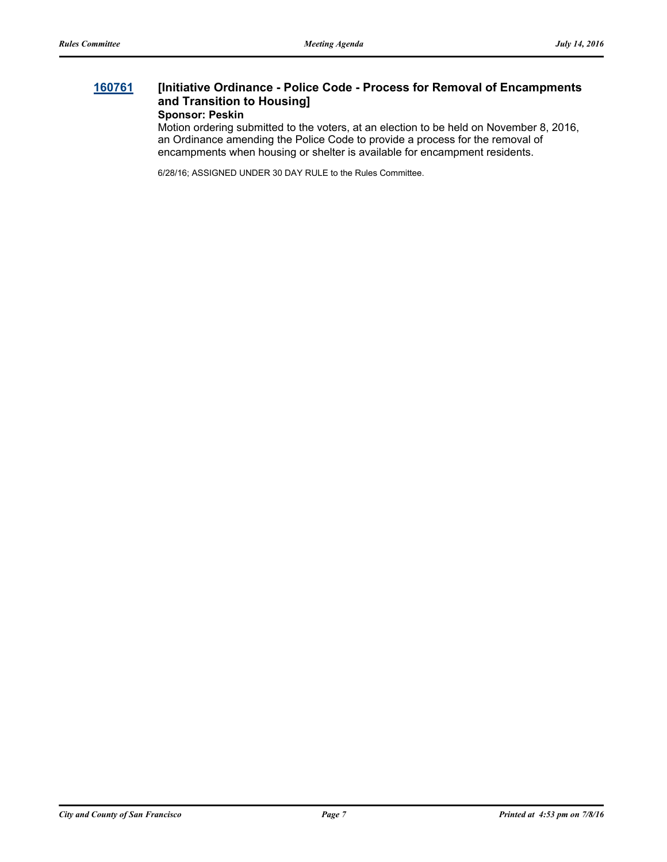#### **[160761](http://sfgov.legistar.com/gateway.aspx?m=l&id=30966) [Initiative Ordinance - Police Code - Process for Removal of Encampments and Transition to Housing] Sponsor: Peskin**

Motion ordering submitted to the voters, at an election to be held on November 8, 2016, an Ordinance amending the Police Code to provide a process for the removal of encampments when housing or shelter is available for encampment residents.

6/28/16; ASSIGNED UNDER 30 DAY RULE to the Rules Committee.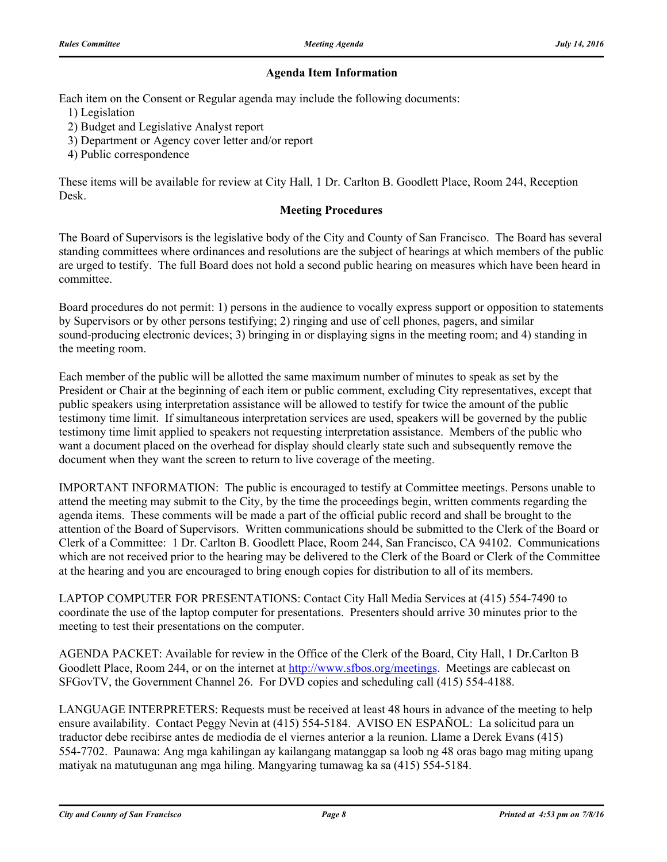### **Agenda Item Information**

Each item on the Consent or Regular agenda may include the following documents:

- 1) Legislation
- 2) Budget and Legislative Analyst report
- 3) Department or Agency cover letter and/or report
- 4) Public correspondence

These items will be available for review at City Hall, 1 Dr. Carlton B. Goodlett Place, Room 244, Reception Desk.

#### **Meeting Procedures**

The Board of Supervisors is the legislative body of the City and County of San Francisco. The Board has several standing committees where ordinances and resolutions are the subject of hearings at which members of the public are urged to testify. The full Board does not hold a second public hearing on measures which have been heard in committee.

Board procedures do not permit: 1) persons in the audience to vocally express support or opposition to statements by Supervisors or by other persons testifying; 2) ringing and use of cell phones, pagers, and similar sound-producing electronic devices; 3) bringing in or displaying signs in the meeting room; and 4) standing in the meeting room.

Each member of the public will be allotted the same maximum number of minutes to speak as set by the President or Chair at the beginning of each item or public comment, excluding City representatives, except that public speakers using interpretation assistance will be allowed to testify for twice the amount of the public testimony time limit. If simultaneous interpretation services are used, speakers will be governed by the public testimony time limit applied to speakers not requesting interpretation assistance. Members of the public who want a document placed on the overhead for display should clearly state such and subsequently remove the document when they want the screen to return to live coverage of the meeting.

IMPORTANT INFORMATION: The public is encouraged to testify at Committee meetings. Persons unable to attend the meeting may submit to the City, by the time the proceedings begin, written comments regarding the agenda items. These comments will be made a part of the official public record and shall be brought to the attention of the Board of Supervisors. Written communications should be submitted to the Clerk of the Board or Clerk of a Committee: 1 Dr. Carlton B. Goodlett Place, Room 244, San Francisco, CA 94102. Communications which are not received prior to the hearing may be delivered to the Clerk of the Board or Clerk of the Committee at the hearing and you are encouraged to bring enough copies for distribution to all of its members.

LAPTOP COMPUTER FOR PRESENTATIONS: Contact City Hall Media Services at (415) 554-7490 to coordinate the use of the laptop computer for presentations. Presenters should arrive 30 minutes prior to the meeting to test their presentations on the computer.

AGENDA PACKET: Available for review in the Office of the Clerk of the Board, City Hall, 1 Dr.Carlton B Goodlett Place, Room 244, or on the internet at http://www.sfbos.org/meetings. Meetings are cablecast on SFGovTV, the Government Channel 26. For DVD copies and scheduling call (415) 554-4188.

LANGUAGE INTERPRETERS: Requests must be received at least 48 hours in advance of the meeting to help ensure availability. Contact Peggy Nevin at (415) 554-5184. AVISO EN ESPAÑOL: La solicitud para un traductor debe recibirse antes de mediodía de el viernes anterior a la reunion. Llame a Derek Evans (415) 554-7702. Paunawa: Ang mga kahilingan ay kailangang matanggap sa loob ng 48 oras bago mag miting upang matiyak na matutugunan ang mga hiling. Mangyaring tumawag ka sa (415) 554-5184.